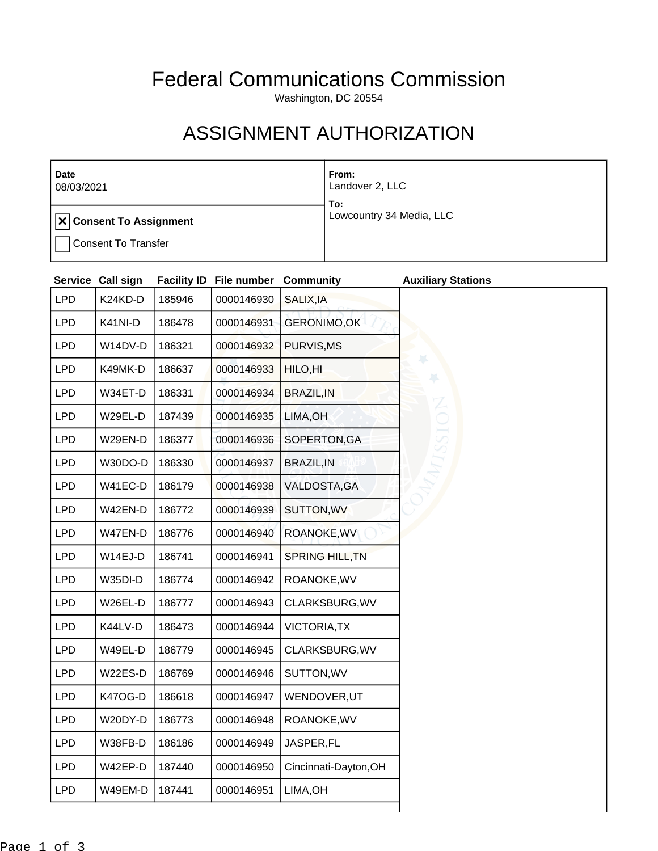## Federal Communications Commission

Washington, DC 20554

## ASSIGNMENT AUTHORIZATION

| <b>Date</b><br>08/03/2021              | From:<br>Landover 2, LLC<br>To: |
|----------------------------------------|---------------------------------|
| $  \mathbf{x}  $ Consent To Assignment | Lowcountry 34 Media, LLC        |
| <b>Consent To Transfer</b>             |                                 |

|            | Service Call sign |        | <b>Facility ID File number Community</b> |                        | <b>Auxiliary Stations</b> |
|------------|-------------------|--------|------------------------------------------|------------------------|---------------------------|
| <b>LPD</b> | K24KD-D           | 185946 | 0000146930                               | SALIX, IA              |                           |
| <b>LPD</b> | K41NI-D           | 186478 | 0000146931                               | <b>GERONIMO,OK</b>     |                           |
| <b>LPD</b> | W14DV-D           | 186321 | 0000146932                               | PURVIS, MS             |                           |
| <b>LPD</b> | K49MK-D           | 186637 | 0000146933                               | HILO, HI               |                           |
| <b>LPD</b> | W34ET-D           | 186331 | 0000146934                               | <b>BRAZIL, IN</b>      |                           |
| <b>LPD</b> | W29EL-D           | 187439 | 0000146935                               | LIMA, OH               |                           |
| <b>LPD</b> | W29EN-D           | 186377 | 0000146936                               | SOPERTON, GA           |                           |
| <b>LPD</b> | W30DO-D           | 186330 | 0000146937                               | <b>BRAZIL, IN</b>      |                           |
| <b>LPD</b> | W41EC-D           | 186179 | 0000146938                               | VALDOSTA, GA           |                           |
| <b>LPD</b> | W42EN-D           | 186772 | 0000146939                               | SUTTON, WV             |                           |
| <b>LPD</b> | W47EN-D           | 186776 | 0000146940                               | ROANOKE, WV            |                           |
| <b>LPD</b> | W14EJ-D           | 186741 | 0000146941                               | <b>SPRING HILL, TN</b> |                           |
| <b>LPD</b> | W35DI-D           | 186774 | 0000146942                               | ROANOKE, WV            |                           |
| <b>LPD</b> | W26EL-D           | 186777 | 0000146943                               | CLARKSBURG, WV         |                           |
| <b>LPD</b> | K44LV-D           | 186473 | 0000146944                               | <b>VICTORIA, TX</b>    |                           |
| <b>LPD</b> | W49EL-D           | 186779 | 0000146945                               | CLARKSBURG, WV         |                           |
| <b>LPD</b> | W22ES-D           | 186769 | 0000146946                               | SUTTON, WV             |                           |
| <b>LPD</b> | <b>K47OG-D</b>    | 186618 | 0000146947                               | WENDOVER, UT           |                           |
| <b>LPD</b> | W20DY-D           | 186773 | 0000146948                               | ROANOKE, WV            |                           |
| <b>LPD</b> | W38FB-D           | 186186 | 0000146949                               | JASPER,FL              |                           |
| <b>LPD</b> | W42EP-D           | 187440 | 0000146950                               | Cincinnati-Dayton, OH  |                           |
| <b>LPD</b> | W49EM-D           | 187441 | 0000146951                               | LIMA, OH               |                           |
|            |                   |        |                                          |                        |                           |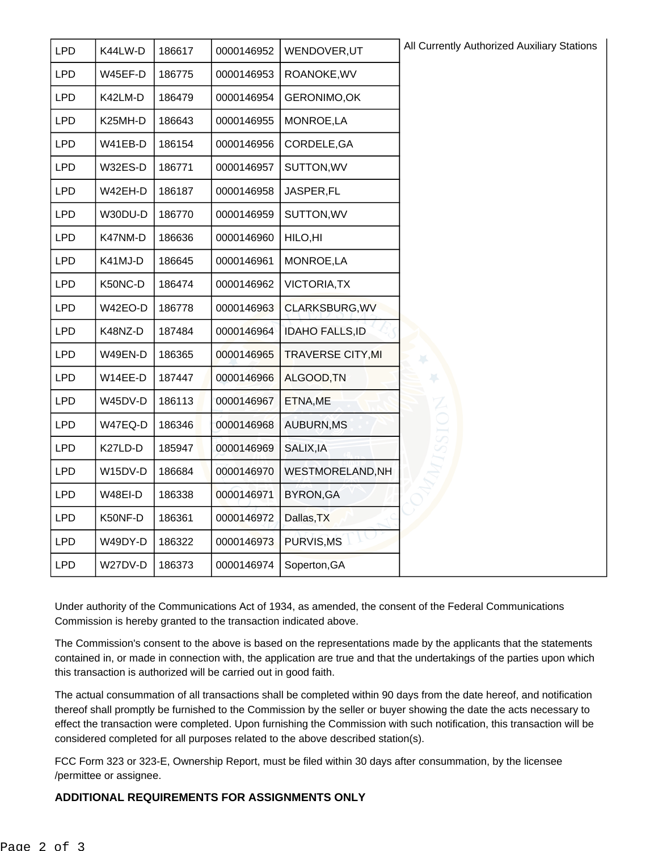| <b>LPD</b> | K44LW-D | 186617 | 0000146952 | WENDOVER, UT             | All Currently Authorized Auxiliary Stations |
|------------|---------|--------|------------|--------------------------|---------------------------------------------|
| <b>LPD</b> | W45EF-D | 186775 | 0000146953 | ROANOKE, WV              |                                             |
| <b>LPD</b> | K42LM-D | 186479 | 0000146954 | GERONIMO, OK             |                                             |
| <b>LPD</b> | K25MH-D | 186643 | 0000146955 | MONROE,LA                |                                             |
| <b>LPD</b> | W41EB-D | 186154 | 0000146956 | CORDELE, GA              |                                             |
| <b>LPD</b> | W32ES-D | 186771 | 0000146957 | SUTTON, WV               |                                             |
| <b>LPD</b> | W42EH-D | 186187 | 0000146958 | JASPER,FL                |                                             |
| <b>LPD</b> | W30DU-D | 186770 | 0000146959 | SUTTON, WV               |                                             |
| <b>LPD</b> | K47NM-D | 186636 | 0000146960 | HILO, HI                 |                                             |
| <b>LPD</b> | K41MJ-D | 186645 | 0000146961 | MONROE,LA                |                                             |
| <b>LPD</b> | K50NC-D | 186474 | 0000146962 | <b>VICTORIA, TX</b>      |                                             |
| <b>LPD</b> | W42EO-D | 186778 | 0000146963 | CLARKSBURG, WV           |                                             |
| <b>LPD</b> | K48NZ-D | 187484 | 0000146964 | <b>IDAHO FALLS, ID</b>   |                                             |
| <b>LPD</b> | W49EN-D | 186365 | 0000146965 | <b>TRAVERSE CITY, MI</b> |                                             |
| <b>LPD</b> | W14EE-D | 187447 | 0000146966 | ALGOOD, TN               |                                             |
| <b>LPD</b> | W45DV-D | 186113 | 0000146967 | ETNA, ME                 |                                             |
| <b>LPD</b> | W47EQ-D | 186346 | 0000146968 | AUBURN, MS               |                                             |
| <b>LPD</b> | K27LD-D | 185947 | 0000146969 | SALIX, IA                |                                             |
| <b>LPD</b> | W15DV-D | 186684 | 0000146970 | WESTMORELAND, NH         |                                             |
| <b>LPD</b> | W48EI-D | 186338 | 0000146971 | <b>BYRON, GA</b>         |                                             |
| <b>LPD</b> | K50NF-D | 186361 | 0000146972 | Dallas, TX               |                                             |
| <b>LPD</b> | W49DY-D | 186322 | 0000146973 | PURVIS, MS               |                                             |
| <b>LPD</b> | W27DV-D | 186373 | 0000146974 | Soperton, GA             |                                             |

Under authority of the Communications Act of 1934, as amended, the consent of the Federal Communications Commission is hereby granted to the transaction indicated above.

The Commission's consent to the above is based on the representations made by the applicants that the statements contained in, or made in connection with, the application are true and that the undertakings of the parties upon which this transaction is authorized will be carried out in good faith.

The actual consummation of all transactions shall be completed within 90 days from the date hereof, and notification thereof shall promptly be furnished to the Commission by the seller or buyer showing the date the acts necessary to effect the transaction were completed. Upon furnishing the Commission with such notification, this transaction will be considered completed for all purposes related to the above described station(s).

FCC Form 323 or 323-E, Ownership Report, must be filed within 30 days after consummation, by the licensee /permittee or assignee.

## **ADDITIONAL REQUIREMENTS FOR ASSIGNMENTS ONLY**